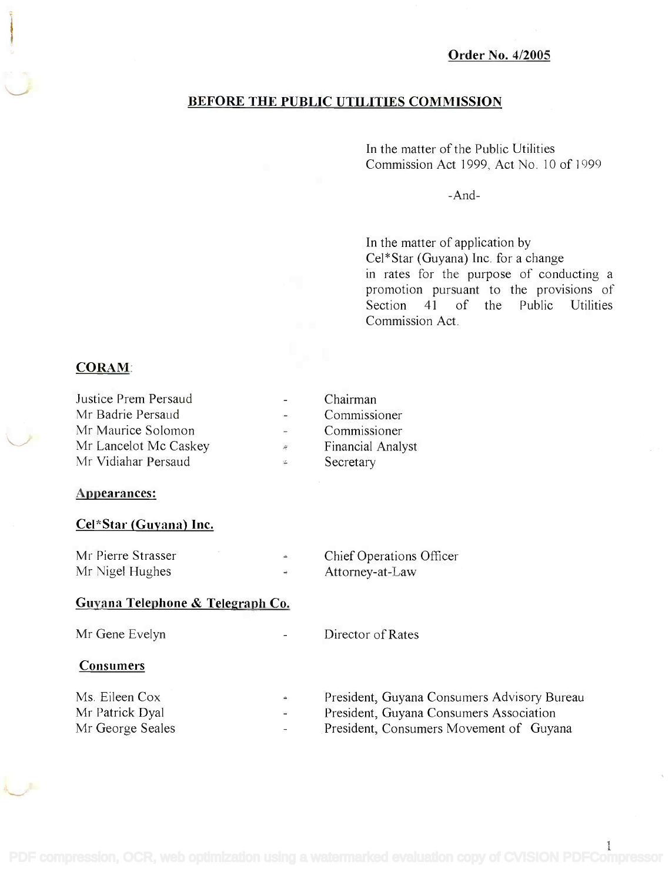# BEFORE THE PUBLIC UTILITIES COMMISSION

In the matter of the Public Utilities In the matter of the Public Utilities Commission Act 1999, Act No. 10 of 1999 Commission Act 1999, Act No. 10 of 1999

-And-

In the matter of application by In the matter of application by Cel\*Star (Guyana) Inc. for a change Cel\*Star (Guyana) Inc. for a change in rates for the purpose of conducting a in rates for the purpose of conducting a promotion pursuant to the provisions of promotion pursuant to the provisions of Section 41 of the Public Utilities Section 41 of the Public Utilities Commission Act. Commission Act.

# CORAM:

| Justice Prem Persaud  |    | Chairman          |
|-----------------------|----|-------------------|
| Mr Badrie Persaud     |    | Commissioner      |
| Mr Maurice Solomon    |    | Commissioner      |
| Mr Lancelot Mc Caskey | i. | Financial Analyst |
| Mr Vidiahar Persaud   | ÷  | Secretary         |

#### Appearances:

#### Cel\*Star (Guyana) Inc.

| Mr Pierre Strasser |   | Chief Operations Officer |
|--------------------|---|--------------------------|
| Mr Nigel Hughes    | ÷ | Attorney-at-Law          |

## Guyana Telephone & Telegraph Co.

| Mr Gene Evelyn<br>$\overline{\phantom{a}}$                                                        | Director of Rates                                                                                                                 |
|---------------------------------------------------------------------------------------------------|-----------------------------------------------------------------------------------------------------------------------------------|
| <b>Consumers</b>                                                                                  |                                                                                                                                   |
| Ms. Eileen Cox<br>$\triangleq$<br>Mr Patrick Dyal<br>$\overline{\phantom{a}}$<br>Mr George Seales | President, Guyana Consumers Advisory Bureau<br>President, Guyana Consumers Association<br>President, Consumers Movement of Guyana |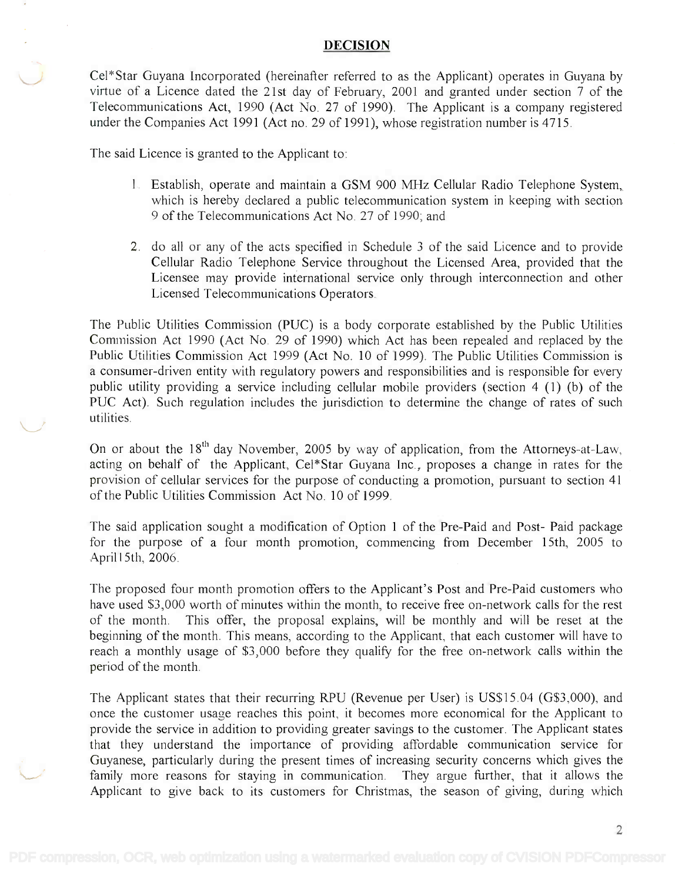### DECISION

Cel\*Star Guyana Incorporated (hereinafter referred to as the Applicant) operates in Guyana by Cel\*Star Guyana Incorporated (hereinafter referred to as the Applicant) operates in Guyana by virtue of a Licence dated the 21st day of February, 2001 and granted under section 7 of the virtue of a Licence dated the 21st day of February, 2001 and granted under section 7 of the Telecommunications Act, 1990 (Act No. 27 of 1990). The Applicant is a company registered Telecommunications Act, 1990 (Act No. 27 of 1990). The Applicant is a company registered under the Companies Act 1991 (Act no. 29 of 1991), whose registration number is 4715. under the Companies Act 1991 (Act no. 29 of 1991), whose registration number is 4715.

The said Licence is granted to the Applicant to:

- 1. Establish, operate and maintain a GSM 900 MHz Cellular Radio Telephone System, 1. Establish, operate and maintain a GSM 900 MHz Cellular Radio Telephone System, which is hereby declared a public telecommunication system in keeping with section which is hereby declared a public telecommunication system in keeping with section 9 of the Telecommunications Act No. 27 of 1990; and 9 of the Telecommunications Act No. 27 of 1990; and
- 2. do all or any of the acts specified in Schedule 3 of the said Licence and to provide 2. do all or any of the acts specified in Schedule 3 of the said Licence and to provide Cellular Radio Telephone Service throughout the Licensed Area, provided that the Cellular Radio Telephone Service throughout the Licensed Area, provided that the Licensee may provide international service only through interconnection and other Licensee may provide international service only through interconnection and other Licensed Telecommunications Operators. Licensed Telecommunications Operators.

The Public Utilities Commission (PUC) is a body corporate established by the Public Utilities The Public Utilities Commission (PUC) is a body corporate established by the Public Utilities Commission Act 1990 (Act No. 29 of 1990) which Act has been repealed and replaced by the Commission Act 1990 (Act No. 29 of 1990) which Act has been repealed and replaced by the Public Utilities Commission Act 1999 (Act No. 10 of 1999). The Public Utilities Commission is Public Utilities Commission Act 1999 (Act No. 10 of 1999). The Public Utilities Commission is a consumer-driven entity with regulatory powers and responsibilities and is responsible for every a consumer-driven entity with regulatory powers and responsibilities and is responsible for every public utility providing a service including cellular mobile providers (section 4 (1) (b) of the public utility providing a service including cellular mobile providers (section 4 (1) (b) of the PUC Act). Such regulation includes the jurisdiction to determine the change of rates of such PUC Act). Such regulation includes the jurisdiction to determine the change of rates of such utilities. utilities.

On or about the 18<sup>th</sup> day November, 2005 by way of application, from the Attorneys-at-Law, acting on behalf of the Applicant, Cel\*Star Guyana Inc., proposes a change in rates for the acting on behalf of the Applicant, Cel\*Star Guyana Inc., proposes a change in rates for the provision of cellular services for the purpose of conducting a promotion, pursuant to section 41 provision of cellular services for the purpose of conducting a promotion, pursuant to section 41 of the Public Utilities Commission Act No. 10 of 1999. of the Public Utilities Commission Act No. 10 of 1999.

The said application sought a modification of Option 1 of the Pre-Paid and Post- Paid package The said application sought a modification of Option 1 of the Pre-Paid and Post- Paid package for the purpose of a four month promotion, commencing from December 15th, 2005 to for the purpose of a four month promotion, commencing from December 15th, 2005 to Aprill5th, 2006. April15th, 2006.

The proposed four month promotion offers to the Applicant's Post and Pre-Paid customers who The proposed four month promotion offers to the Applicant's Post and Pre-Paid customers who have used \$3,000 worth of minutes within the month, to receive free on-network calls for the rest have used \$3,000 worth of minutes within the month, to receive free on-network calls for the rest of the month. This offer, the proposal explains, will be monthly and will be reset at the beginning of the month. This means, according to the Applicant, that each customer will have to beginning of the month. This means, according to the Applicant, that each customer will have to reach a monthly usage of \$3,000 before they qualify for the free on-network calls within the reach a monthly usage of \$3,000 before they qualify for the free on-network calls within the period of the month. period of the month.

The Applicant states that their recurring RPU (Revenue per User) is US\$15.04 (G\$3,000), and The Applicant states that their recurring RPU (Revenue per User) is US\$15.04 (G\$3,000), and once the customer usage reaches this point, it becomes more economical for the Applicant to provide the service in addition to providing greater savings to the customer. The Applicant states provide the service in addition to providing greater savings to the customer. The Applicant states that they understand the importance of providing affordable communication service for that they understand the importance of providing affordable communication service for Guyanese, particularly during the present times of increasing security concerns which gives the Guyanese, particularly during the present times of increasing security concerns which gives the family more reasons for staying in communication. They argue further, that it allows the family more reasons for staying in communication. They argue further, that it allows the Applicant to give back to its customers for Christmas, the season of giving, during which Applicant to give back to its customers for Christmas, the season of giving, during which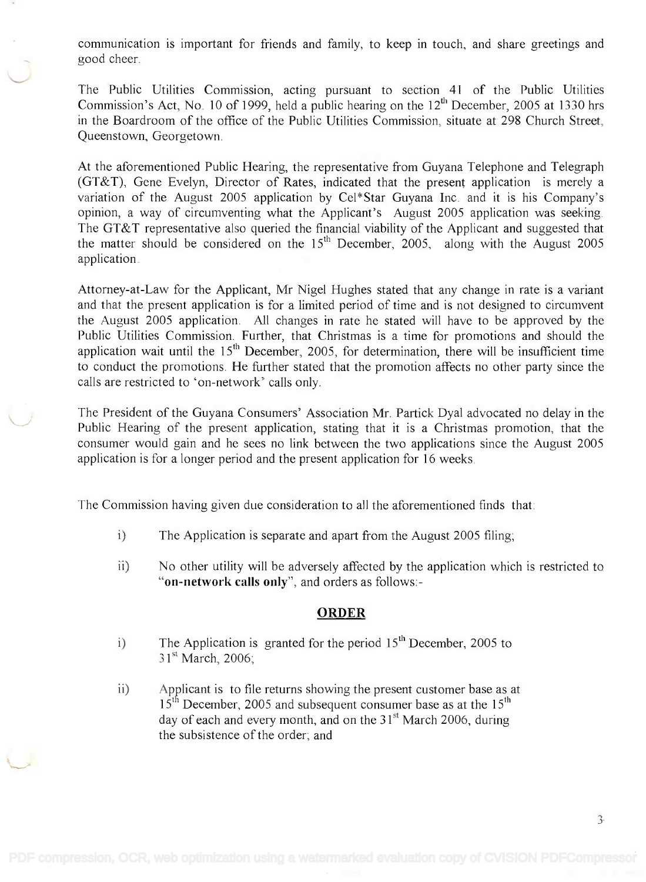communication is important for friends and family, to keep in touch, and share greetings and communication is important for friends and family, to keep in touch, and share greetings and good cheer. good cheer.

The Public Utilities Commission, acting pursuant to section 41 of the Public Utilities The Public Utilities Commission, acting pursuant to section 41 of the Public Utilities Commission's Act, No. 10 of 1999, held a public hearing on the  $12<sup>th</sup>$  December, 2005 at 1330 hrs in the Boardroom of the office of the Public Utilities Commission, situate at 298 Church Street, in the Boardroom of the office of the Public Utilities Commission, situate at 298 Church Street, Queenstown, Georgetown. Queenstown, Georgetown.

At the aforementioned Public Hearing, the representative from Guyana Telephone and Telegraph At the aforementioned Public Hearing, the representative from Guyana Telephone and Telegraph (GT&T), Gene Evelyn, Director of Rates, indicated that the present application is merely a (GT&T), Gene Evelyn, Director of Rates, indicated that the present application is merely a variation of the August 2005 application by Cel\*Star Guyana Inc. and it is his Company's variation of the August 2005 application by Cel\*Star Guyana Inc. and it is his Company's opinion, a way of circumventing what the Applicant's August 2005 application was seeking. opinion, a way of circumventing what the Applicant's August 2005 application was seeking. The GT&T representative also queried the financial viability of the Applicant and suggested that The GT&T representative also queried the financial viability of the Applicant and suggested that the matter should be considered on the  $15<sup>th</sup>$  December, 2005, along with the August 2005 application. application.

Attorney-at-Law for the Applicant, Mr Nigel Hughes stated that any change in rate is a variant Attorney-at-Law for the Applicant, Mr Nigel Hughes stated that any change in rate is a variant and that the present application is for a limited period of time and is not designed to circumvent and that the present application is for a limited period of time and is not designed to circumvent the August 2005 application. All changes in rate he stated will have to be approved by the the August 2005 application. All changes in rate he stated will have to be approved by the Public Utilities Commission. Further, that Christmas is a time for promotions and should the Public Utilities Commission. Further, that Christmas is a time for promotions and should the application wait until the  $15<sup>th</sup>$  December, 2005, for determination, there will be insufficient time to conduct the promotions. He further stated that the promotion affects no other party since the to conduct the promotions. He further stated that the promotion affects no other party since the calls are restricted to 'on-network' calls only. calls are restricted to 'on-network' calls only.

The President of the Guyana Consumers' Association Mr. Partick Dyal advocated no delay in the The President of the Guyana Consumers' Association Mr. Partick Dyal advocated no delay in the Public Hearing of the present application, stating that it is a Christmas promotion, that the Public Hearing of the present application, stating that it is a Christmas promotion, that the consumer would gain and he sees no link between the two applications since the August 2005 consumer would gain and he sees no link between the two applications since the August 2005 application is for a longer period and the present application for 16 weeks. application is for a longer period and the present application for 16 weeks.

The Commission having given due consideration to all the aforementioned finds that:

- i) The Application is separate and apart from the August 2005 filing;
- ii) No other utility will be adversely affected by the application which is restricted to "on-network calls only", and orders as follows: **"on-network calls only",** and orders as follows:-

### **ORDER**

- i) The Application is granted for the period  $15<sup>th</sup>$  December, 2005 to  $31<sup>st</sup> March, 2006$
- ii) Applicant is to file returns showing the present customer base as at  $15<sup>th</sup>$  December, 2005 and subsequent consumer base as at the  $15<sup>th</sup>$ day of each and every month, and on the  $31<sup>st</sup>$  March 2006, during the subsistence of the order; and the subsistence of the order; and